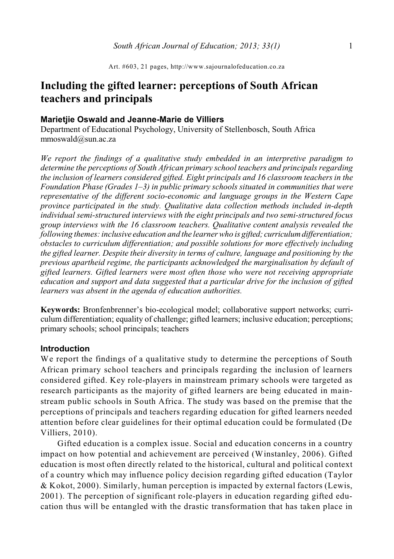# **Including the gifted learner: perceptions of South African teachers and principals**

## **Marietjie Oswald and Jeanne-Marie de Villiers**

Department of Educational Psychology, University of Stellenbosch, South Africa mmoswald@sun.ac.za

*We report the findings of a qualitative study embedded in an interpretive paradigm to determine the perceptions of South African primary school teachers and principals regarding the inclusion of learners considered gifted. Eight principals and 16 classroom teachers in the Foundation Phase (Grades 1–3) in public primary schools situated in communities that were representative of the different socio-economic and language groups in the Western Cape province participated in the study. Qualitative data collection methods included in-depth individual semi-structured interviews with the eight principals and two semi-structured focus group interviews with the 16 classroom teachers. Qualitative content analysis revealed the following themes: inclusive education and the learner who is gifted; curriculumdifferentiation; obstacles to curriculum differentiation; and possible solutions for more effectively including the gifted learner. Despite their diversity in terms of culture, language and positioning by the previous apartheid regime, the participants acknowledged the marginalisation by default of gifted learners. Gifted learners were most often those who were not receiving appropriate education and support and data suggested that a particular drive for the inclusion of gifted learners was absent in the agenda of education authorities.*

**Keywords:** Bronfenbrenner's bio-ecological model; collaborative support networks; curriculum differentiation; equality of challenge; gifted learners; inclusive education; perceptions; primary schools; school principals; teachers

## **Introduction**

We report the findings of a qualitative study to determine the perceptions of South African primary school teachers and principals regarding the inclusion of learners considered gifted. Key role-players in mainstream primary schools were targeted as research participants as the majority of gifted learners are being educated in mainstream public schools in South Africa. The study was based on the premise that the perceptions of principals and teachers regarding education for gifted learners needed attention before clear guidelines for their optimal education could be formulated (De Villiers, 2010).

Gifted education is a complex issue. Social and education concerns in a country impact on how potential and achievement are perceived (Winstanley, 2006). Gifted education is most often directly related to the historical, cultural and political context of a country which may influence policy decision regarding gifted education (Taylor & Kokot, 2000). Similarly, human perception is impacted by external factors (Lewis, 2001). The perception of significant role-players in education regarding gifted education thus will be entangled with the drastic transformation that has taken place in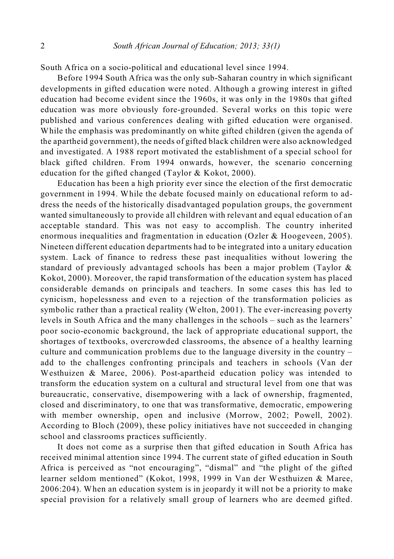South Africa on a socio-political and educational level since 1994.

Before 1994 South Africa was the only sub-Saharan country in which significant developments in gifted education were noted. Although a growing interest in gifted education had become evident since the 1960s, it was only in the 1980s that gifted education was more obviously fore-grounded. Several works on this topic were published and various conferences dealing with gifted education were organised. While the emphasis was predominantly on white gifted children (given the agenda of the apartheid government), the needs of gifted black children were also acknowledged and investigated. A 1988 report motivated the establishment of a special school for black gifted children. From 1994 onwards, however, the scenario concerning education for the gifted changed (Taylor & Kokot, 2000).

Education has been a high priority ever since the election of the first democratic government in 1994. While the debate focused mainly on educational reform to address the needs of the historically disadvantaged population groups, the government wanted simultaneously to provide all children with relevant and equal education of an acceptable standard. This was not easy to accomplish. The country inherited enormous inequalities and fragmentation in education (Ozler & Hoogeveen, 2005). Nineteen different education departments had to be integrated into a unitary education system. Lack of finance to redress these past inequalities without lowering the standard of previously advantaged schools has been a major problem (Taylor & Kokot, 2000). Moreover, the rapid transformation of the education system has placed considerable demands on principals and teachers. In some cases this has led to cynicism, hopelessness and even to a rejection of the transformation policies as symbolic rather than a practical reality (Welton, 2001). The ever-increasing poverty levels in South Africa and the many challenges in the schools – such as the learners' poor socio-economic background, the lack of appropriate educational support, the shortages of textbooks, overcrowded classrooms, the absence of a healthy learning culture and communication problems due to the language diversity in the country – add to the challenges confronting principals and teachers in schools (Van der Westhuizen & Maree, 2006). Post-apartheid education policy was intended to transform the education system on a cultural and structural level from one that was bureaucratic, conservative, disempowering with a lack of ownership, fragmented, closed and discriminatory, to one that was transformative, democratic, empowering with member ownership, open and inclusive (Morrow, 2002; Powell, 2002). According to Bloch (2009), these policy initiatives have not succeeded in changing school and classrooms practices sufficiently.

It does not come as a surprise then that gifted education in South Africa has received minimal attention since 1994. The current state of gifted education in South Africa is perceived as "not encouraging", "dismal" and "the plight of the gifted learner seldom mentioned" (Kokot, 1998, 1999 in Van der Westhuizen & Maree, 2006:204). When an education system is in jeopardy it will not be a priority to make special provision for a relatively small group of learners who are deemed gifted.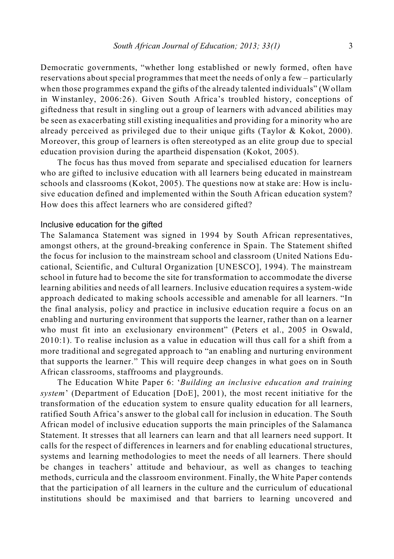Democratic governments, "whether long established or newly formed, often have reservations about special programmes that meet the needs of only a few – particularly when those programmes expand the gifts of the already talented individuals" (Wollam in Winstanley, 2006:26). Given South Africa's troubled history, conceptions of giftedness that result in singling out a group of learners with advanced abilities may be seen as exacerbating still existing inequalities and providing for a minority who are already perceived as privileged due to their unique gifts (Taylor & Kokot, 2000). Moreover, this group of learners is often stereotyped as an elite group due to special education provision during the apartheid dispensation (Kokot, 2005).

The focus has thus moved from separate and specialised education for learners who are gifted to inclusive education with all learners being educated in mainstream schools and classrooms (Kokot, 2005). The questions now at stake are: How is inclusive education defined and implemented within the South African education system? How does this affect learners who are considered gifted?

### Inclusive education for the gifted

The Salamanca Statement was signed in 1994 by South African representatives, amongst others, at the ground-breaking conference in Spain. The Statement shifted the focus for inclusion to the mainstream school and classroom (United Nations Educational, Scientific, and Cultural Organization [UNESCO], 1994). The mainstream school in future had to become the site for transformation to accommodate the diverse learning abilities and needs of all learners. Inclusive education requires a system-wide approach dedicated to making schools accessible and amenable for all learners. "In the final analysis, policy and practice in inclusive education require a focus on an enabling and nurturing environment that supports the learner, rather than on a learner who must fit into an exclusionary environment" (Peters et al., 2005 in Oswald, 2010:1). To realise inclusion as a value in education will thus call for a shift from a more traditional and segregated approach to "an enabling and nurturing environment that supports the learner." This will require deep changes in what goes on in South African classrooms, staffrooms and playgrounds.

The Education White Paper 6: '*Building an inclusive education and training system*' (Department of Education [DoE], 2001), the most recent initiative for the transformation of the education system to ensure quality education for all learners, ratified South Africa's answer to the global call for inclusion in education. The South African model of inclusive education supports the main principles of the Salamanca Statement. It stresses that all learners can learn and that all learners need support. It calls for the respect of differences in learners and for enabling educational structures, systems and learning methodologies to meet the needs of all learners. There should be changes in teachers' attitude and behaviour, as well as changes to teaching methods, curricula and the classroom environment. Finally, the White Paper contends that the participation of all learners in the culture and the curriculum of educational institutions should be maximised and that barriers to learning uncovered and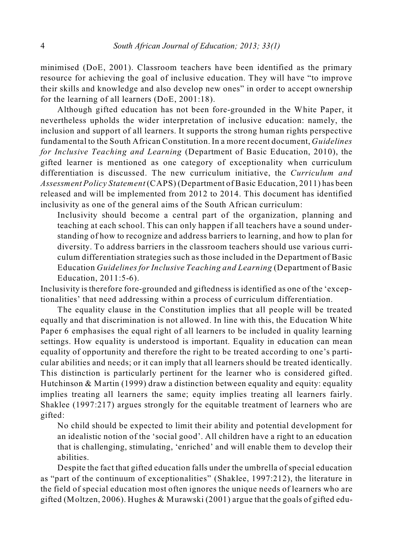minimised (DoE, 2001). Classroom teachers have been identified as the primary resource for achieving the goal of inclusive education. They will have "to improve their skills and knowledge and also develop new ones" in order to accept ownership for the learning of all learners (DoE, 2001:18).

Although gifted education has not been fore-grounded in the White Paper, it nevertheless upholds the wider interpretation of inclusive education: namely, the inclusion and support of all learners. It supports the strong human rights perspective fundamental to the South African Constitution. In a more recent document, *Guidelines for Inclusive Teaching and Learning* (Department of Basic Education, 2010), the gifted learner is mentioned as one category of exceptionality when curriculum differentiation is discussed. The new curriculum initiative, the *Curriculum and Assessment Policy Statement* (CAPS) (Department of Basic Education, 2011) has been released and will be implemented from 2012 to 2014. This document has identified inclusivity as one of the general aims of the South African curriculum:

Inclusivity should become a central part of the organization, planning and teaching at each school. This can only happen if all teachers have a sound understanding of how to recognize and address barriers to learning, and how to plan for diversity. To address barriers in the classroom teachers should use various curriculum differentiation strategies such as those included in the Department of Basic Education *Guidelines for Inclusive Teaching and Learning* (Department of Basic Education, 2011:5-6).

Inclusivity is therefore fore-grounded and giftedness is identified as one of the 'exceptionalities' that need addressing within a process of curriculum differentiation.

The equality clause in the Constitution implies that all people will be treated equally and that discrimination is not allowed. In line with this, the Education White Paper 6 emphasises the equal right of all learners to be included in quality learning settings. How equality is understood is important. Equality in education can mean equality of opportunity and therefore the right to be treated according to one's particular abilities and needs; or it can imply that all learners should be treated identically. This distinction is particularly pertinent for the learner who is considered gifted. Hutchinson  $\&$  Martin (1999) draw a distinction between equality and equity: equality implies treating all learners the same; equity implies treating all learners fairly. Shaklee (1997:217) argues strongly for the equitable treatment of learners who are gifted:

No child should be expected to limit their ability and potential development for an idealistic notion of the 'social good'. All children have a right to an education that is challenging, stimulating, 'enriched' and will enable them to develop their abilities.

Despite the fact that gifted education falls under the umbrella of special education as "part of the continuum of exceptionalities" (Shaklee, 1997:212), the literature in the field of special education most often ignores the unique needs of learners who are gifted (Moltzen, 2006). Hughes & Murawski (2001) argue that the goals of gifted edu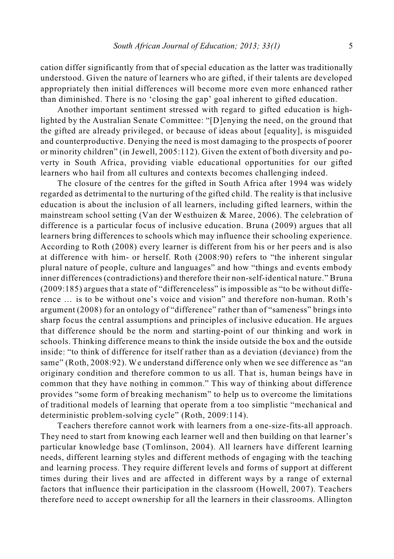cation differ significantly from that of special education as the latter was traditionally understood. Given the nature of learners who are gifted, if their talents are developed appropriately then initial differences will become more even more enhanced rather than diminished. There is no 'closing the gap' goal inherent to gifted education.

Another important sentiment stressed with regard to gifted education is highlighted by the Australian Senate Committee: "[D]enying the need, on the ground that the gifted are already privileged, or because of ideas about [equality], is misguided and counterproductive. Denying the need is most damaging to the prospects of poorer or minority children" (in Jewell, 2005:112). Given the extent of both diversity and poverty in South Africa, providing viable educational opportunities for our gifted learners who hail from all cultures and contexts becomes challenging indeed.

The closure of the centres for the gifted in South Africa after 1994 was widely regarded as detrimental to the nurturing of the gifted child. The reality is that inclusive education is about the inclusion of all learners, including gifted learners, within the mainstream school setting (Van der Westhuizen & Maree, 2006). The celebration of difference is a particular focus of inclusive education. Bruna (2009) argues that all learners bring differences to schools which may influence their schooling experience. According to Roth (2008) every learner is different from his or her peers and is also at difference with him- or herself. Roth (2008:90) refers to "the inherent singular plural nature of people, culture and languages" and how "things and events embody inner differences (contradictions) and therefore their non-self-identical nature." Bruna (2009:185) argues that a state of "differenceless" is impossible as "to be without difference … is to be without one's voice and vision" and therefore non-human. Roth's argument (2008) for an ontology of "difference" rather than of "sameness" brings into sharp focus the central assumptions and principles of inclusive education. He argues that difference should be the norm and starting-point of our thinking and work in schools. Thinking difference means to think the inside outside the box and the outside inside: "to think of difference for itself rather than as a deviation (deviance) from the same" (Roth, 2008:92). We understand difference only when we see difference as "an originary condition and therefore common to us all. That is, human beings have in common that they have nothing in common." This way of thinking about difference provides "some form of breaking mechanism" to help us to overcome the limitations of traditional models of learning that operate from a too simplistic "mechanical and deterministic problem-solving cycle" (Roth, 2009:114).

Teachers therefore cannot work with learners from a one-size-fits-all approach. They need to start from knowing each learner well and then building on that learner's particular knowledge base (Tomlinson, 2004). All learners have different learning needs, different learning styles and different methods of engaging with the teaching and learning process. They require different levels and forms of support at different times during their lives and are affected in different ways by a range of external factors that influence their participation in the classroom (Howell, 2007). Teachers therefore need to accept ownership for all the learners in their classrooms. Allington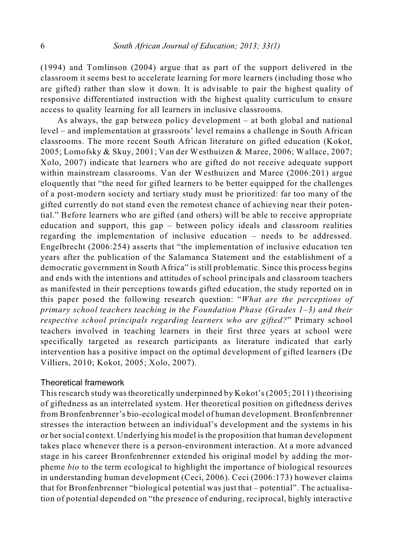(1994) and Tomlinson (2004) argue that as part of the support delivered in the classroom it seems best to accelerate learning for more learners (including those who are gifted) rather than slow it down. It is advisable to pair the highest quality of responsive differentiated instruction with the highest quality curriculum to ensure access to quality learning for all learners in inclusive classrooms.

As always, the gap between policy development – at both global and national level – and implementation at grassroots' level remains a challenge in South African classrooms. The more recent South African literature on gifted education (Kokot, 2005; Lomofsky & Skuy, 2001; Van der Westhuizen & Maree, 2006; Wallace, 2007; Xolo, 2007) indicate that learners who are gifted do not receive adequate support within mainstream classrooms. Van der Westhuizen and Maree (2006:201) argue eloquently that "the need for gifted learners to be better equipped for the challenges of a post-modern society and tertiary study must be prioritized: far too many of the gifted currently do not stand even the remotest chance of achieving near their potential." Before learners who are gifted (and others) will be able to receive appropriate education and support, this gap – between policy ideals and classroom realities regarding the implementation of inclusive education – needs to be addressed. Engelbrecht (2006:254) asserts that "the implementation of inclusive education ten years after the publication of the Salamanca Statement and the establishment of a democratic government in South Africa" is still problematic. Since this process begins and ends with the intentions and attitudes of school principals and classroom teachers as manifested in their perceptions towards gifted education, the study reported on in this paper posed the following research question: "*What are the perceptions of primary school teachers teaching in the Foundation Phase (Grades 1–3) and their respective school principals regarding learners who are gifted?*" Primary school teachers involved in teaching learners in their first three years at school were specifically targeted as research participants as literature indicated that early intervention has a positive impact on the optimal development of gifted learners (De Villiers, 2010; Kokot, 2005; Xolo, 2007).

### Theoretical framework

This research study wastheoretically underpinned by Kokot's(2005; 2011) theorising of giftedness as an interrelated system. Her theoretical position on giftedness derives from Bronfenbrenner's bio-ecological model of human development. Bronfenbrenner stresses the interaction between an individual's development and the systems in his or hersocial context. Underlying his model is the proposition that human development takes place whenever there is a person-environment interaction. At a more advanced stage in his career Bronfenbrenner extended his original model by adding the morpheme *bio* to the term ecological to highlight the importance of biological resources in understanding human development (Ceci, 2006). Ceci (2006:173) however claims that for Bronfenbrenner "biological potential was just that – potential". The actualisation of potential depended on "the presence of enduring, reciprocal, highly interactive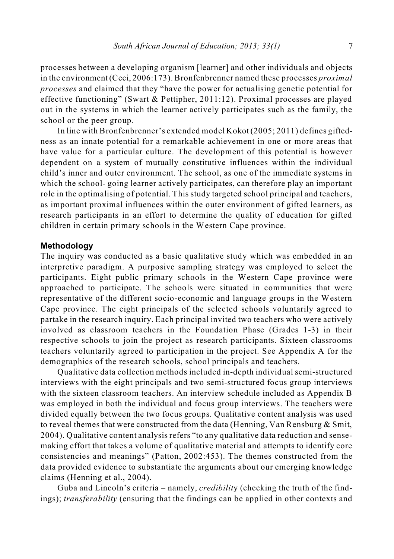processes between a developing organism [learner] and other individuals and objects in the environment (Ceci, 2006:173). Bronfenbrenner named these processes *proximal processes* and claimed that they "have the power for actualising genetic potential for effective functioning" (Swart & Pettipher, 2011:12). Proximal processes are played out in the systems in which the learner actively participates such as the family, the school or the peer group.

In line with Bronfenbrenner's extended model Kokot (2005; 2011) defines giftedness as an innate potential for a remarkable achievement in one or more areas that have value for a particular culture. The development of this potential is however dependent on a system of mutually constitutive influences within the individual child's inner and outer environment. The school, as one of the immediate systems in which the school- going learner actively participates, can therefore play an important role in the optimalising of potential. This study targeted school principal and teachers, as important proximal influences within the outer environment of gifted learners, as research participants in an effort to determine the quality of education for gifted children in certain primary schools in the Western Cape province.

### **Methodology**

The inquiry was conducted as a basic qualitative study which was embedded in an interpretive paradigm. A purposive sampling strategy was employed to select the participants. Eight public primary schools in the Western Cape province were approached to participate. The schools were situated in communities that were representative of the different socio-economic and language groups in the Western Cape province. The eight principals of the selected schools voluntarily agreed to partake in the research inquiry. Each principal invited two teachers who were actively involved as classroom teachers in the Foundation Phase (Grades 1-3) in their respective schools to join the project as research participants. Sixteen classrooms teachers voluntarily agreed to participation in the project. See Appendix A for the demographics of the research schools, school principals and teachers.

Qualitative data collection methods included in-depth individual semi-structured interviews with the eight principals and two semi-structured focus group interviews with the sixteen classroom teachers. An interview schedule included as Appendix B was employed in both the individual and focus group interviews. The teachers were divided equally between the two focus groups. Qualitative content analysis was used to reveal themes that were constructed from the data (Henning, Van Rensburg  $\&$  Smit, 2004). Qualitative content analysis refers "to any qualitative data reduction and sensemaking effort that takes a volume of qualitative material and attempts to identify core consistencies and meanings" (Patton, 2002:453). The themes constructed from the data provided evidence to substantiate the arguments about our emerging knowledge claims (Henning et al., 2004).

Guba and Lincoln's criteria – namely, *credibilit*y (checking the truth of the findings); *transferability* (ensuring that the findings can be applied in other contexts and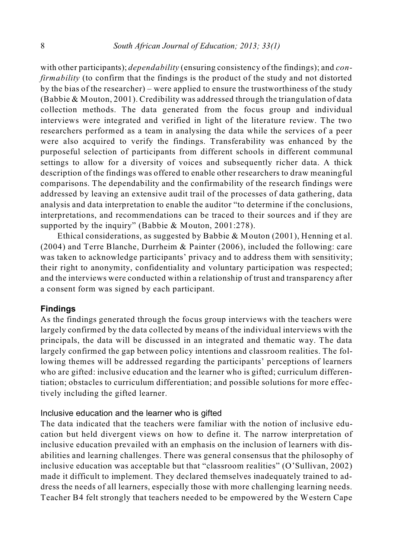with other participants); *dependability* (ensuring consistency of the findings); and *confirmability* (to confirm that the findings is the product of the study and not distorted by the bias of the researcher) – were applied to ensure the trustworthiness of the study (Babbie & Mouton, 2001). Credibility was addressed through the triangulation of data collection methods. The data generated from the focus group and individual interviews were integrated and verified in light of the literature review. The two researchers performed as a team in analysing the data while the services of a peer were also acquired to verify the findings. Transferability was enhanced by the purposeful selection of participants from different schools in different communal settings to allow for a diversity of voices and subsequently richer data. A thick description of the findings was offered to enable other researchers to draw meaningful comparisons. The dependability and the confirmability of the research findings were addressed by leaving an extensive audit trail of the processes of data gathering, data analysis and data interpretation to enable the auditor "to determine if the conclusions, interpretations, and recommendations can be traced to their sources and if they are supported by the inquiry" (Babbie & Mouton, 2001:278).

Ethical considerations, as suggested by Babbie & Mouton (2001), Henning et al. (2004) and Terre Blanche, Durrheim & Painter (2006), included the following: care was taken to acknowledge participants' privacy and to address them with sensitivity; their right to anonymity, confidentiality and voluntary participation was respected; and the interviews were conducted within a relationship of trust and transparency after a consent form was signed by each participant.

#### **Findings**

As the findings generated through the focus group interviews with the teachers were largely confirmed by the data collected by means of the individual interviews with the principals, the data will be discussed in an integrated and thematic way. The data largely confirmed the gap between policy intentions and classroom realities. The following themes will be addressed regarding the participants' perceptions of learners who are gifted: inclusive education and the learner who is gifted; curriculum differentiation; obstacles to curriculum differentiation; and possible solutions for more effectively including the gifted learner.

#### Inclusive education and the learner who is gifted

The data indicated that the teachers were familiar with the notion of inclusive education but held divergent views on how to define it. The narrow interpretation of inclusive education prevailed with an emphasis on the inclusion of learners with disabilities and learning challenges. There was general consensus that the philosophy of inclusive education was acceptable but that "classroom realities" (O'Sullivan, 2002) made it difficult to implement. They declared themselves inadequately trained to address the needs of all learners, especially those with more challenging learning needs. Teacher B4 felt strongly that teachers needed to be empowered by the Western Cape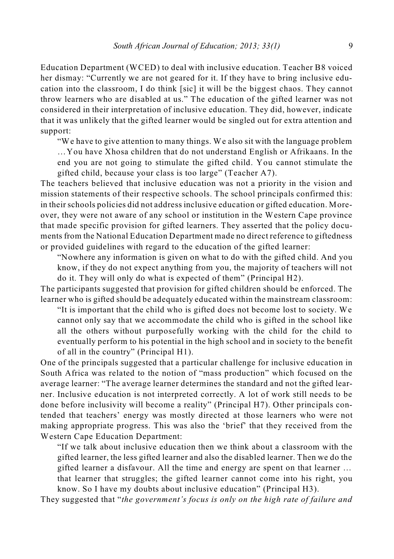Education Department (WCED) to deal with inclusive education. Teacher B8 voiced her dismay: "Currently we are not geared for it. If they have to bring inclusive education into the classroom, I do think [sic] it will be the biggest chaos. They cannot throw learners who are disabled at us." The education of the gifted learner was not considered in their interpretation of inclusive education. They did, however, indicate that it was unlikely that the gifted learner would be singled out for extra attention and support:

"We have to give attention to many things. We also sit with the language problem …You have Xhosa children that do not understand English or Afrikaans. In the end you are not going to stimulate the gifted child. You cannot stimulate the gifted child, because your class is too large" (Teacher A7).

The teachers believed that inclusive education was not a priority in the vision and mission statements of their respective schools. The school principals confirmed this: in their schools policies did not address inclusive education or gifted education. Moreover, they were not aware of any school or institution in the Western Cape province that made specific provision for gifted learners. They asserted that the policy documents from the National Education Department made no direct reference to giftedness or provided guidelines with regard to the education of the gifted learner:

"Nowhere any information is given on what to do with the gifted child. And you know, if they do not expect anything from you, the majority of teachers will not do it. They will only do what is expected of them" (Principal H2).

The participants suggested that provision for gifted children should be enforced. The learner who is gifted should be adequately educated within the mainstream classroom:

"It is important that the child who is gifted does not become lost to society. We cannot only say that we accommodate the child who is gifted in the school like all the others without purposefully working with the child for the child to eventually perform to his potential in the high school and in society to the benefit of all in the country" (Principal H1).

One of the principals suggested that a particular challenge for inclusive education in South Africa was related to the notion of "mass production" which focused on the average learner: "The average learner determines the standard and not the gifted learner. Inclusive education is not interpreted correctly. A lot of work still needs to be done before inclusivity will become a reality" (Principal H7). Other principals contended that teachers' energy was mostly directed at those learners who were not making appropriate progress. This was also the 'brief' that they received from the Western Cape Education Department:

"If we talk about inclusive education then we think about a classroom with the gifted learner, the less gifted learner and also the disabled learner. Then we do the gifted learner a disfavour. All the time and energy are spent on that learner … that learner that struggles; the gifted learner cannot come into his right, you know. So I have my doubts about inclusive education" (Principal H3).

They suggested that "*the government's focus is only on the high rate of failure and*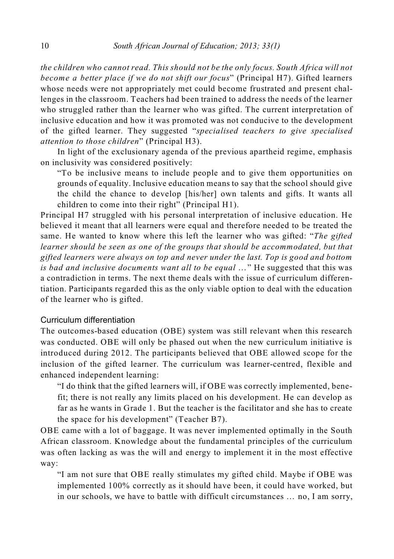*the children who cannot read. This should not be the only focus. South Africa will not become a better place if we do not shift our focus*" (Principal H7). Gifted learners whose needs were not appropriately met could become frustrated and present challenges in the classroom. Teachers had been trained to address the needs of the learner who struggled rather than the learner who was gifted. The current interpretation of inclusive education and how it was promoted was not conducive to the development of the gifted learner. They suggested "*specialised teachers to give specialised attention to those children*" (Principal H3).

In light of the exclusionary agenda of the previous apartheid regime, emphasis on inclusivity was considered positively:

"To be inclusive means to include people and to give them opportunities on grounds of equality. Inclusive education means to say that the school should give the child the chance to develop [his/her] own talents and gifts. It wants all children to come into their right" (Principal H1).

Principal H7 struggled with his personal interpretation of inclusive education. He believed it meant that all learners were equal and therefore needed to be treated the same. He wanted to know where this left the learner who was gifted: "*The gifted learner should be seen as one of the groups that should be accommodated, but that gifted learners were always on top and never under the last. Top is good and bottom is bad and inclusive documents want all to be equal* …" He suggested that this was a contradiction in terms. The next theme deals with the issue of curriculum differentiation. Participants regarded this as the only viable option to deal with the education of the learner who is gifted.

## Curriculum differentiation

The outcomes-based education (OBE) system was still relevant when this research was conducted. OBE will only be phased out when the new curriculum initiative is introduced during 2012. The participants believed that OBE allowed scope for the inclusion of the gifted learner. The curriculum was learner-centred, flexible and enhanced independent learning:

"I do think that the gifted learners will, if OBE was correctly implemented, benefit; there is not really any limits placed on his development. He can develop as far as he wants in Grade 1. But the teacher is the facilitator and she has to create the space for his development" (Teacher B7).

OBE came with a lot of baggage. It was never implemented optimally in the South African classroom. Knowledge about the fundamental principles of the curriculum was often lacking as was the will and energy to implement it in the most effective way:

"I am not sure that OBE really stimulates my gifted child. Maybe if OBE was implemented 100% correctly as it should have been, it could have worked, but in our schools, we have to battle with difficult circumstances … no, I am sorry,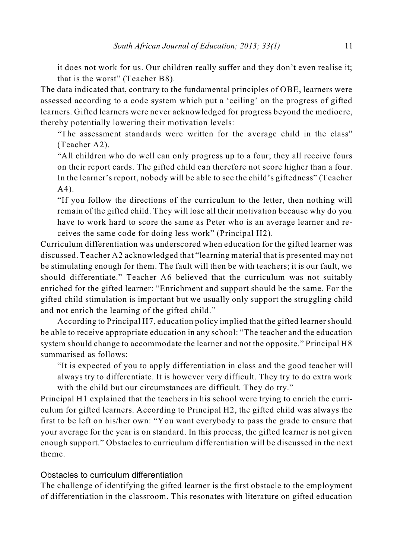it does not work for us. Our children really suffer and they don't even realise it; that is the worst" (Teacher B8).

The data indicated that, contrary to the fundamental principles of OBE, learners were assessed according to a code system which put a 'ceiling' on the progress of gifted learners. Gifted learners were never acknowledged for progress beyond the mediocre, thereby potentially lowering their motivation levels:

"The assessment standards were written for the average child in the class" (Teacher A2).

"All children who do well can only progress up to a four; they all receive fours on their report cards. The gifted child can therefore not score higher than a four. In the learner's report, nobody will be able to see the child's giftedness" (Teacher A4).

"If you follow the directions of the curriculum to the letter, then nothing will remain of the gifted child. They will lose all their motivation because why do you have to work hard to score the same as Peter who is an average learner and receives the same code for doing less work" (Principal H2).

Curriculum differentiation was underscored when education for the gifted learner was discussed. Teacher A2 acknowledged that "learning material that is presented may not be stimulating enough for them. The fault will then be with teachers; it is our fault, we should differentiate." Teacher A6 believed that the curriculum was not suitably enriched for the gifted learner: "Enrichment and support should be the same. For the gifted child stimulation is important but we usually only support the struggling child and not enrich the learning of the gifted child."

According to Principal H7, education policy implied that the gifted learnershould be able to receive appropriate education in any school: "The teacher and the education system should change to accommodate the learner and not the opposite." Principal H8 summarised as follows:

"It is expected of you to apply differentiation in class and the good teacher will always try to differentiate. It is however very difficult. They try to do extra work with the child but our circumstances are difficult. They do try."

Principal H1 explained that the teachers in his school were trying to enrich the curriculum for gifted learners. According to Principal H2, the gifted child was always the first to be left on his/her own: "You want everybody to pass the grade to ensure that your average for the year is on standard. In this process, the gifted learner is not given enough support." Obstacles to curriculum differentiation will be discussed in the next theme.

#### Obstacles to curriculum differentiation

The challenge of identifying the gifted learner is the first obstacle to the employment of differentiation in the classroom. This resonates with literature on gifted education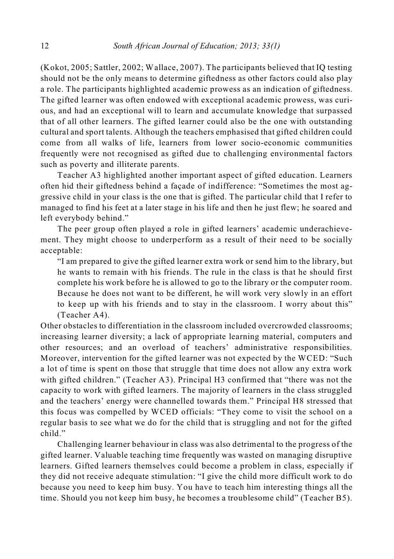(Kokot, 2005; Sattler, 2002; Wallace, 2007). The participants believed that IQ testing should not be the only means to determine giftedness as other factors could also play a role. The participants highlighted academic prowess as an indication of giftedness. The gifted learner was often endowed with exceptional academic prowess, was curious, and had an exceptional will to learn and accumulate knowledge that surpassed that of all other learners. The gifted learner could also be the one with outstanding cultural and sport talents. Although the teachers emphasised that gifted children could come from all walks of life, learners from lower socio-economic communities frequently were not recognised as gifted due to challenging environmental factors such as poverty and illiterate parents.

Teacher A3 highlighted another important aspect of gifted education. Learners often hid their giftedness behind a façade of indifference: "Sometimes the most aggressive child in your class is the one that is gifted. The particular child that I refer to managed to find his feet at a later stage in his life and then he just flew; he soared and left everybody behind."

The peer group often played a role in gifted learners' academic underachievement. They might choose to underperform as a result of their need to be socially acceptable:

"I am prepared to give the gifted learner extra work or send him to the library, but he wants to remain with his friends. The rule in the class is that he should first complete his work before he is allowed to go to the library or the computer room. Because he does not want to be different, he will work very slowly in an effort to keep up with his friends and to stay in the classroom. I worry about this" (Teacher A4).

Other obstacles to differentiation in the classroom included overcrowded classrooms; increasing learner diversity; a lack of appropriate learning material, computers and other resources; and an overload of teachers' administrative responsibilities. Moreover, intervention for the gifted learner was not expected by the WCED: "Such a lot of time is spent on those that struggle that time does not allow any extra work with gifted children." (Teacher A3). Principal H3 confirmed that "there was not the capacity to work with gifted learners. The majority of learners in the class struggled and the teachers' energy were channelled towards them." Principal H8 stressed that this focus was compelled by WCED officials: "They come to visit the school on a regular basis to see what we do for the child that is struggling and not for the gifted child."

Challenging learner behaviour in class was also detrimental to the progress of the gifted learner. Valuable teaching time frequently was wasted on managing disruptive learners. Gifted learners themselves could become a problem in class, especially if they did not receive adequate stimulation: "I give the child more difficult work to do because you need to keep him busy. You have to teach him interesting things all the time. Should you not keep him busy, he becomes a troublesome child" (Teacher B5).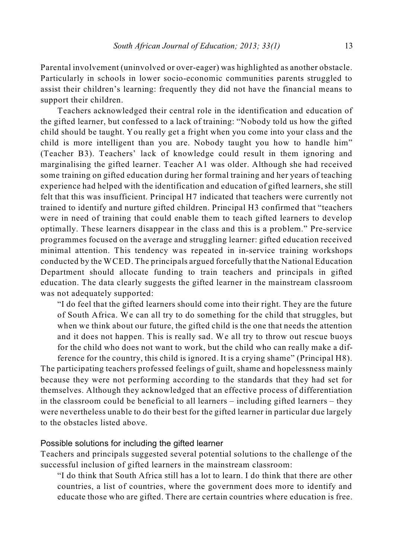Parental involvement (uninvolved or over-eager) was highlighted as another obstacle. Particularly in schools in lower socio-economic communities parents struggled to assist their children's learning: frequently they did not have the financial means to support their children.

Teachers acknowledged their central role in the identification and education of the gifted learner, but confessed to a lack of training: "Nobody told us how the gifted child should be taught. You really get a fright when you come into your class and the child is more intelligent than you are. Nobody taught you how to handle him" (Teacher B3). Teachers' lack of knowledge could result in them ignoring and marginalising the gifted learner. Teacher A1 was older. Although she had received some training on gifted education during her formal training and her years of teaching experience had helped with the identification and education of gifted learners, she still felt that this was insufficient. Principal H7 indicated that teachers were currently not trained to identify and nurture gifted children. Principal H3 confirmed that "teachers were in need of training that could enable them to teach gifted learners to develop optimally. These learners disappear in the class and this is a problem." Pre-service programmes focused on the average and struggling learner: gifted education received minimal attention. This tendency was repeated in in-service training workshops conducted by the WCED. The principals argued forcefully that the National Education Department should allocate funding to train teachers and principals in gifted education. The data clearly suggests the gifted learner in the mainstream classroom was not adequately supported:

"I do feel that the gifted learners should come into their right. They are the future of South Africa. We can all try to do something for the child that struggles, but when we think about our future, the gifted child is the one that needs the attention and it does not happen. This is really sad. We all try to throw out rescue buoys for the child who does not want to work, but the child who can really make a difference for the country, this child is ignored. It is a crying shame" (Principal H8).

The participating teachers professed feelings of guilt, shame and hopelessness mainly because they were not performing according to the standards that they had set for themselves. Although they acknowledged that an effective process of differentiation in the classroom could be beneficial to all learners – including gifted learners – they were nevertheless unable to do their best for the gifted learner in particular due largely to the obstacles listed above.

### Possible solutions for including the gifted learner

Teachers and principals suggested several potential solutions to the challenge of the successful inclusion of gifted learners in the mainstream classroom:

"I do think that South Africa still has a lot to learn. I do think that there are other countries, a list of countries, where the government does more to identify and educate those who are gifted. There are certain countries where education is free.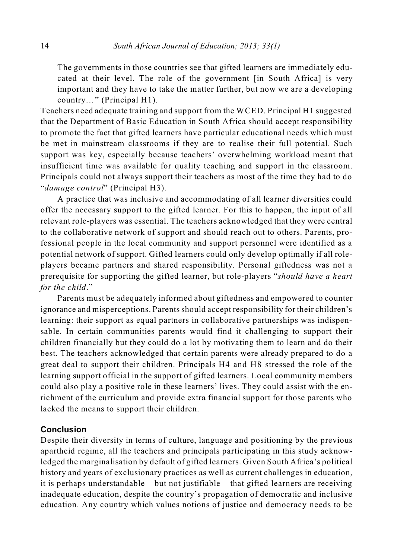The governments in those countries see that gifted learners are immediately educated at their level. The role of the government [in South Africa] is very important and they have to take the matter further, but now we are a developing country…" (Principal H1).

Teachers need adequate training and support from the WCED. Principal H1 suggested that the Department of Basic Education in South Africa should accept responsibility to promote the fact that gifted learners have particular educational needs which must be met in mainstream classrooms if they are to realise their full potential. Such support was key, especially because teachers' overwhelming workload meant that insufficient time was available for quality teaching and support in the classroom. Principals could not always support their teachers as most of the time they had to do "*damage control*" (Principal H3).

A practice that was inclusive and accommodating of all learner diversities could offer the necessary support to the gifted learner. For this to happen, the input of all relevant role-players was essential. The teachers acknowledged that they were central to the collaborative network of support and should reach out to others. Parents, professional people in the local community and support personnel were identified as a potential network of support. Gifted learners could only develop optimally if all roleplayers became partners and shared responsibility. Personal giftedness was not a prerequisite for supporting the gifted learner, but role-players "*should have a heart for the child*."

Parents must be adequately informed about giftedness and empowered to counter ignorance and misperceptions. Parentsshould accept responsibility for their children's learning: their support as equal partners in collaborative partnerships was indispensable. In certain communities parents would find it challenging to support their children financially but they could do a lot by motivating them to learn and do their best. The teachers acknowledged that certain parents were already prepared to do a great deal to support their children. Principals H4 and H8 stressed the role of the learning support official in the support of gifted learners. Local community members could also play a positive role in these learners' lives. They could assist with the enrichment of the curriculum and provide extra financial support for those parents who lacked the means to support their children.

## **Conclusion**

Despite their diversity in terms of culture, language and positioning by the previous apartheid regime, all the teachers and principals participating in this study acknowledged the marginalisation by default of gifted learners. Given South Africa's political history and years of exclusionary practices as well as current challenges in education, it is perhaps understandable – but not justifiable – that gifted learners are receiving inadequate education, despite the country's propagation of democratic and inclusive education. Any country which values notions of justice and democracy needs to be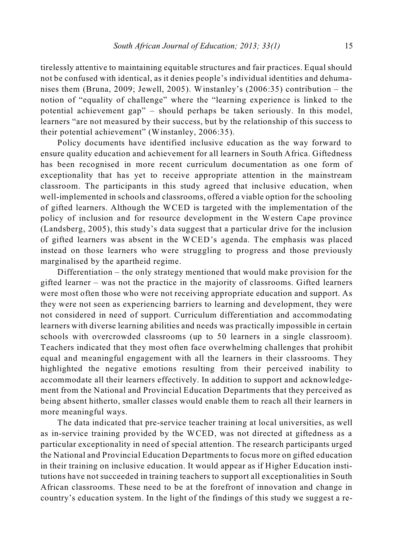tirelessly attentive to maintaining equitable structures and fair practices. Equal should not be confused with identical, as it denies people's individual identities and dehumanises them (Bruna, 2009; Jewell, 2005). Winstanley's (2006:35) contribution – the notion of "equality of challenge" where the "learning experience is linked to the potential achievement gap" – should perhaps be taken seriously. In this model, learners "are not measured by their success, but by the relationship of this success to their potential achievement" (Winstanley, 2006:35).

Policy documents have identified inclusive education as the way forward to ensure quality education and achievement for all learners in South Africa. Giftedness has been recognised in more recent curriculum documentation as one form of exceptionality that has yet to receive appropriate attention in the mainstream classroom. The participants in this study agreed that inclusive education, when well-implemented in schools and classrooms, offered a viable option for the schooling of gifted learners. Although the WCED is targeted with the implementation of the policy of inclusion and for resource development in the Western Cape province (Landsberg, 2005), this study's data suggest that a particular drive for the inclusion of gifted learners was absent in the WCED's agenda. The emphasis was placed instead on those learners who were struggling to progress and those previously marginalised by the apartheid regime.

Differentiation – the only strategy mentioned that would make provision for the gifted learner – was not the practice in the majority of classrooms. Gifted learners were most often those who were not receiving appropriate education and support. As they were not seen as experiencing barriers to learning and development, they were not considered in need of support. Curriculum differentiation and accommodating learners with diverse learning abilities and needs was practically impossible in certain schools with overcrowded classrooms (up to 50 learners in a single classroom). Teachers indicated that they most often face overwhelming challenges that prohibit equal and meaningful engagement with all the learners in their classrooms. They highlighted the negative emotions resulting from their perceived inability to accommodate all their learners effectively. In addition to support and acknowledgement from the National and Provincial Education Departments that they perceived as being absent hitherto, smaller classes would enable them to reach all their learners in more meaningful ways.

The data indicated that pre-service teacher training at local universities, as well as in-service training provided by the WCED, was not directed at giftedness as a particular exceptionality in need of special attention. The research participants urged the National and Provincial Education Departments to focus more on gifted education in their training on inclusive education. It would appear as if Higher Education institutions have not succeeded in training teachers to support all exceptionalities in South African classrooms. These need to be at the forefront of innovation and change in country's education system. In the light of the findings of this study we suggest a re-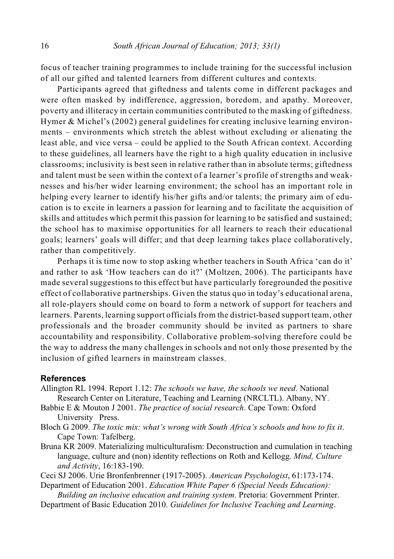focus of teacher training programmes to include training for the successful inclusion of all our gifted and talented learners from different cultures and contexts.

Participants agreed that giftedness and talents come in different packages and were often masked by indifference, aggression, boredom, and apathy. Moreover, poverty and illiteracy in certain communities contributed to the masking of giftedness. Hymer & Michel's (2002) general guidelines for creating inclusive learning environments – environments which stretch the ablest without excluding or alienating the least able, and vice versa – could be applied to the South African context. According to these guidelines, all learners have the right to a high quality education in inclusive classrooms; inclusivity is best seen in relative rather than in absolute terms; giftedness and talent must be seen within the context of a learner's profile of strengths and weaknesses and his/her wider learning environment; the school has an important role in helping every learner to identify his/her gifts and/or talents; the primary aim of education is to excite in learners a passion for learning and to facilitate the acquisition of skills and attitudes which permit this passion for learning to be satisfied and sustained; the school has to maximise opportunities for all learners to reach their educational goals; learners' goals will differ; and that deep learning takes place collaboratively, rather than competitively.

Perhaps it is time now to stop asking whether teachers in South Africa 'can do it' and rather to ask 'How teachers can do it?' (Moltzen, 2006). The participants have made several suggestions to this effect but have particularly foregrounded the positive effect of collaborative partnerships. Given the status quo in today's educational arena, all role-players should come on board to form a network of support for teachers and learners. Parents, learning support officials from the district-based support team, other professionals and the broader community should be invited as partners to share accountability and responsibility. Collaborative problem-solving therefore could be the way to address the many challenges in schools and not only those presented by the inclusion of gifted learners in mainstream classes.

#### **References**

- Allington RL 1994. Report 1.12: *The schools we have, the schools we need*. National Research Center on Literature, Teaching and Learning (NRCLTL). Albany, NY.
- Babbie E & Mouton J 2001. *The practice of social research*. Cape Town: Oxford University Press.
- Bloch G 2009. *The toxic mix: what's wrong with South Africa's schools and how to fix it*. Cape Town: Tafelberg.
- Bruna KR 2009. Materializing multiculturalism: Deconstruction and cumulation in teaching language, culture and (non) identity reflections on Roth and Kellogg. *Mind, Culture and Activity*, 16:183-190.

Ceci SJ 2006. Urie Bronfenbrenner (1917-2005). *American Psychologist*, 61:173-174. Department of Education 2001. *Education White Paper 6 (Special Needs Education):*

*Building an inclusive education and training system*. Pretoria: Government Printer.

Department of Basic Education 2010. *Guidelines for Inclusive Teaching and Learning*.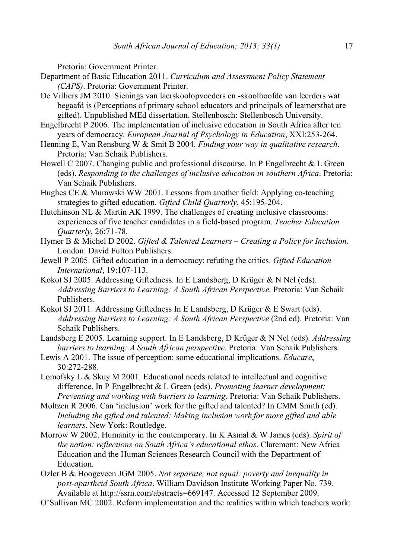Pretoria: Government Printer.

- Department of Basic Education 2011. *Curriculum and Assessment Policy Statement (CAPS)*. Pretoria: Government Printer.
- De Villiers JM 2010. Sienings van laerskoolopvoeders en -skoolhoofde van leerders wat begaafd is (Perceptions of primary school educators and principals of learnersthat are gifted). Unpublished MEd dissertation. Stellenbosch: Stellenbosch University.
- Engelbrecht P 2006. The implementation of inclusive education in South Africa after ten years of democracy. *European Journal of Psychology in Education*, XXI:253-264.
- Henning E, Van Rensburg W & Smit B 2004. *Finding your way in qualitative research*. Pretoria: Van Schaik Publishers.
- Howell C 2007. Changing public and professional discourse. In P Engelbrecht & L Green (eds). *Responding to the challenges of inclusive education in southern Africa*. Pretoria: Van Schaik Publishers.
- Hughes CE & Murawski WW 2001. Lessons from another field: Applying co-teaching strategies to gifted education. *Gifted Child Quarterly*, 45:195-204.
- Hutchinson NL & Martin AK 1999. The challenges of creating inclusive classrooms: experiences of five teacher candidates in a field-based program. *Teacher Education Quarterly*, 26:71-78.
- Hymer B & Michel D 2002. *Gifted & Talented Learners Creating a Policy for Inclusion*. London: David Fulton Publishers.
- Jewell P 2005. Gifted education in a democracy: refuting the critics. *Gifted Education International*, 19:107-113.
- Kokot SJ 2005. Addressing Giftedness. In E Landsberg, D Krüger & N Nel (eds). *Addressing Barriers to Learning: A South African Perspective*. Pretoria: Van Schaik Publishers.
- Kokot SJ 2011. Addressing Giftedness In E Landsberg, D Krüger & E Swart (eds). *Addressing Barriers to Learning: A South African Perspective* (2nd ed). Pretoria: Van Schaik Publishers.
- Landsberg E 2005. Learning support. In E Landsberg, D Krüger & N Nel (eds). *Addressing barriers to learning: A South African perspective*. Pretoria: Van Schaik Publishers.
- Lewis A 2001. The issue of perception: some educational implications. *Educare*, 30:272-288.
- Lomofsky L & Skuy M 2001. Educational needs related to intellectual and cognitive difference. In P Engelbrecht & L Green (eds). *Promoting learner development: Preventing and working with barriers to learning*. Pretoria: Van Schaik Publishers.
- Moltzen R 2006. Can 'inclusion' work for the gifted and talented? In CMM Smith (ed). *Including the gifted and talented: Making inclusion work for more gifted and able learners*. New York: Routledge.
- Morrow W 2002. Humanity in the contemporary. In K Asmal & W James (eds). *Spirit of the nation: reflections on South Africa's educational ethos*. Claremont: New Africa Education and the Human Sciences Research Council with the Department of Education.
- Ozler B & Hoogeveen JGM 2005. *Not separate, not equal: poverty and inequality in post-apartheid South Africa*. William Davidson Institute Working Paper No. 739. Available at http://ssrn.com/abstracts=669147. Accessed 12 September 2009.
- O'Sullivan MC 2002. Reform implementation and the realities within which teachers work: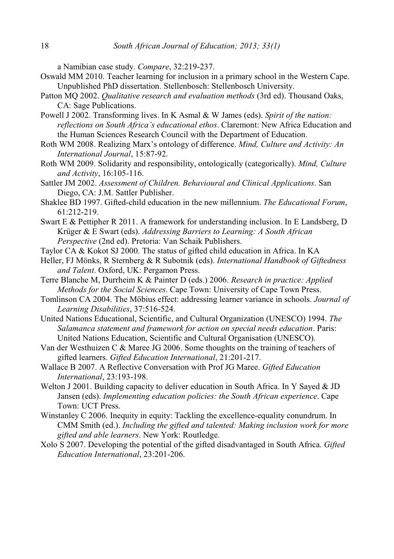a Namibian case study. *Compare*, 32:219-237.

- Oswald MM 2010. Teacher learning for inclusion in a primary school in the Western Cape. Unpublished PhD dissertation. Stellenbosch: Stellenbosch University.
- Patton MQ 2002. *Qualitative research and evaluation methods* (3rd ed). Thousand Oaks, CA: Sage Publications.
- Powell J 2002. Transforming lives. In K Asmal & W James (eds). *Spirit of the nation: reflections on South Africa's educational ethos*. Claremont: New Africa Education and the Human Sciences Research Council with the Department of Education.
- Roth WM 2008. Realizing Marx's ontology of difference. *Mind, Culture and Activity: An International Journal*, 15:87-92.
- Roth WM 2009. Solidarity and responsibility, ontologically (categorically). *Mind, Culture and Activity*, 16:105-116.
- Sattler JM 2002. *Assessment of Children. Behavioural and Clinical Applications*. San Diego, CA: J.M. Sattler Publisher.
- Shaklee BD 1997. Gifted-child education in the new millennium. *The Educational Forum*, 61:212-219.
- Swart E & Pettipher R 2011. A framework for understanding inclusion. In E Landsberg, D Krüger & E Swart (eds). *Addressing Barriers to Learning: A South African Perspective* (2nd ed). Pretoria: Van Schaik Publishers.
- Taylor CA & Kokot SJ 2000. The status of gifted child education in Africa. In KA
- Heller, FJ Mönks, R Sternberg & R Subotnik (eds). *International Handbook of Giftedness and Talent*. Oxford, UK: Pergamon Press.
- Terre Blanche M, Durrheim K & Painter D (eds.) 2006. *Research in practice: Applied Methods for the Social Sciences*. Cape Town: University of Cape Town Press.
- Tomlinson CA 2004. The Möbius effect: addressing learner variance in schools. *Journal of Learning Disabilities*, 37:516-524.
- United Nations Educational, Scientific, and Cultural Organization (UNESCO) 1994. *The Salamanca statement and framework for action on special needs education*. Paris: United Nations Education, Scientific and Cultural Organisation (UNESCO).
- Van der Westhuizen C & Maree JG 2006. Some thoughts on the training of teachers of gifted learners. *Gifted Education International*, 21:201-217.
- Wallace B 2007. A Reflective Conversation with Prof JG Maree. *Gifted Education International*, 23:193-198.
- Welton J 2001. Building capacity to deliver education in South Africa. In Y Sayed & JD Jansen (eds). *Implementing education policies: the South African experience*. Cape Town: UCT Press.
- Winstanley C 2006. Inequity in equity: Tackling the excellence-equality conundrum. In CMM Smith (ed.). *Including the gifted and talented: Making inclusion work for more gifted and able learners*. New York: Routledge.
- Xolo S 2007. Developing the potential of the gifted disadvantaged in South Africa. *Gifted Education International*, 23:201-206.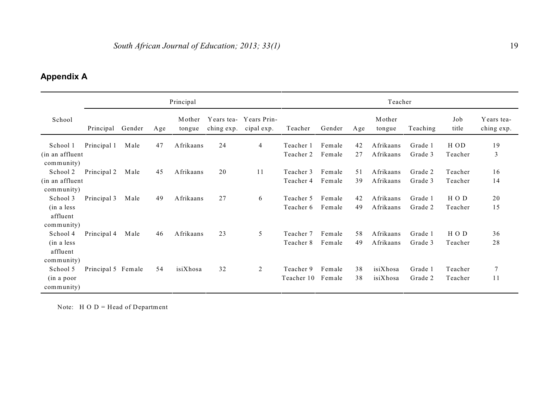## **Appendix A**

|                                                    | Principal          |        |     |                  |                          |                           | Teacher                 |                  |          |                        |                    |                    |                          |  |
|----------------------------------------------------|--------------------|--------|-----|------------------|--------------------------|---------------------------|-------------------------|------------------|----------|------------------------|--------------------|--------------------|--------------------------|--|
| School                                             | Principal          | Gender | Age | Mother<br>tongue | Years tea-<br>ching exp. | Years Prin-<br>cipal exp. | Teacher                 | Gender           | Age      | Mother<br>tongue       | Teaching           | Job<br>title       | Years tea-<br>ching exp. |  |
| School 1<br>(in an affluent<br>community)          | Principal 1        | Male   | 47  | Afrikaans        | 24                       | $\overline{4}$            | Teacher 1<br>Teacher 2  | Female<br>Female | 42<br>27 | Afrikaans<br>Afrikaans | Grade 1<br>Grade 3 | H OD<br>Teacher    | 19<br>3                  |  |
| School 2<br>(in an affluent<br>community)          | Principal 2        | Male   | 45  | Afrikaans        | 20                       | 11                        | Teacher 3<br>Teacher 4  | Female<br>Female | 51<br>39 | Afrikaans<br>Afrikaans | Grade 2<br>Grade 3 | Teacher<br>Teacher | 16<br>14                 |  |
| School 3<br>(in a less<br>affluent<br>community)   | Principal 3        | Male   | 49  | Afrikaans        | 27                       | 6                         | Teacher 5<br>Teacher 6  | Female<br>Female | 42<br>49 | Afrikaans<br>Afrikaans | Grade 1<br>Grade 2 | HOD<br>Teacher     | 20<br>15                 |  |
| School 4<br>(in a less<br>affluent                 | Principal 4        | Male   | 46  | Afrikaans        | 23                       | 5                         | Teacher 7<br>Teacher 8  | Female<br>Female | 58<br>49 | Afrikaans<br>Afrikaans | Grade 1<br>Grade 3 | HOD<br>Teacher     | 36<br>28                 |  |
| community)<br>School 5<br>(in a poor<br>community) | Principal 5 Female |        | 54  | isiXhosa         | 32                       | 2                         | Teacher 9<br>Teacher 10 | Female<br>Female | 38<br>38 | isiXhosa<br>isiXhosa   | Grade 1<br>Grade 2 | Teacher<br>Teacher | $\overline{7}$<br>11     |  |

Note:  $H O D = Head of Department$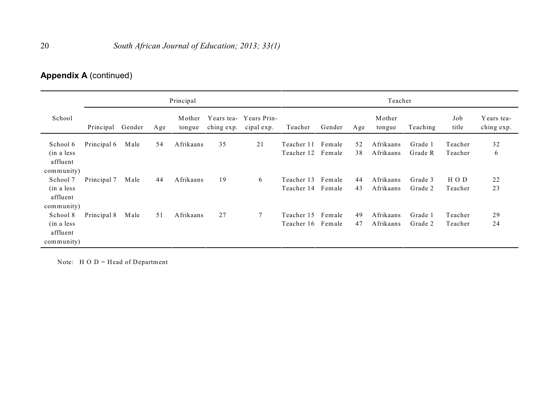## **Appendix A** (continued)

|                                                                 |             |        |     | Principal        |                          |                           | Teacher                                |                  |          |                        |                    |                    |                          |  |
|-----------------------------------------------------------------|-------------|--------|-----|------------------|--------------------------|---------------------------|----------------------------------------|------------------|----------|------------------------|--------------------|--------------------|--------------------------|--|
| School                                                          | Principal   | Gender | Age | Mother<br>tongue | Years tea-<br>ching exp. | Years Prin-<br>cipal exp. | Teacher                                | Gender           | Age      | Mother<br>tongue       | Teaching           | Job<br>title       | Years tea-<br>ching exp. |  |
| School 6<br>(in a less)<br>affluent                             | Principal 6 | Male   | 54  | Afrikaans        | 35                       | 21                        | Teacher 11<br>Teacher 12               | Female<br>Female | 52<br>38 | Afrikaans<br>Afrikaans | Grade 1<br>Grade R | Teacher<br>Teacher | 32<br>6                  |  |
| community)<br>School 7<br>(in a less)<br>affluent               | Principal 7 | Male   | 44  | Afrikaans        | 19                       | 6                         | Teacher 13 Female<br>Teacher 14 Female |                  | 44<br>43 | Afrikaans<br>Afrikaans | Grade 3<br>Grade 2 | HOD<br>Teacher     | 22<br>23                 |  |
| community)<br>School 8<br>(in a less)<br>affluent<br>community) | Principal 8 | Male   | 51  | Afrikaans        | 27                       | 7                         | Teacher 15<br>Teacher 16               | Female<br>Female | 49<br>47 | Afrikaans<br>Afrikaans | Grade 1<br>Grade 2 | Teacher<br>Teacher | 29<br>24                 |  |

Note:  $H O D = Head of Department$